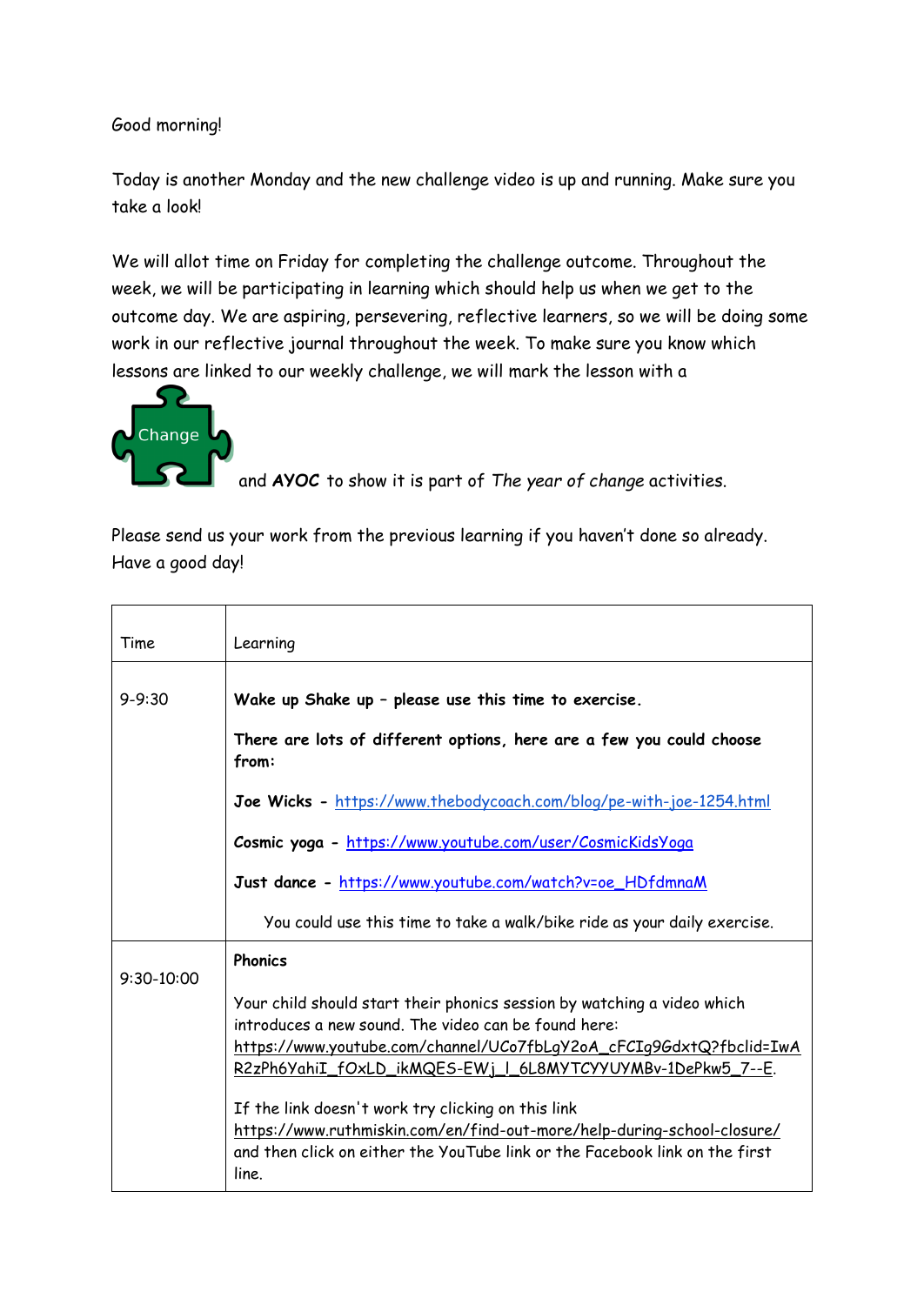Good morning!

Today is another Monday and the new challenge video is up and running. Make sure you take a look!

We will allot time on Friday for completing the challenge outcome. Throughout the week, we will be participating in learning which should help us when we get to the outcome day. We are aspiring, persevering, reflective learners, so we will be doing some work in our reflective journal throughout the week. To make sure you know which lessons are linked to our weekly challenge, we will mark the lesson with a



and **AYOC** to show it is part of *The year of change* activities.

Please send us your work from the previous learning if you haven't done so already. Have a good day!

| Time         | Learning                                                                                                                                                                                                                                                              |  |
|--------------|-----------------------------------------------------------------------------------------------------------------------------------------------------------------------------------------------------------------------------------------------------------------------|--|
| $9 - 9:30$   | Wake up Shake up - please use this time to exercise.                                                                                                                                                                                                                  |  |
|              | There are lots of different options, here are a few you could choose<br>from:                                                                                                                                                                                         |  |
|              | Joe Wicks - https://www.thebodycoach.com/blog/pe-with-joe-1254.html                                                                                                                                                                                                   |  |
|              | Cosmic yoga - https://www.youtube.com/user/CosmicKidsYoga                                                                                                                                                                                                             |  |
|              | Just dance - https://www.youtube.com/watch?v=oe_HDfdmnaM                                                                                                                                                                                                              |  |
|              | You could use this time to take a walk/bike ride as your daily exercise.                                                                                                                                                                                              |  |
| $9:30-10:00$ | <b>Phonics</b>                                                                                                                                                                                                                                                        |  |
|              | Your child should start their phonics session by watching a video which<br>introduces a new sound. The video can be found here:<br>https://www.youtube.com/channel/UCo7fbLqY2oA_cFCIq9GdxtQ?fbclid=IwA<br>R2zPh6YahiI_fOxLD_ikMQES-EWj_l_6L8MYTCYYUYMBv-1DePkw5_7--E. |  |
|              | If the link doesn't work try clicking on this link<br>https://www.ruthmiskin.com/en/find-out-more/help-during-school-closure/<br>and then click on either the YouTube link or the Facebook link on the first<br>line.                                                 |  |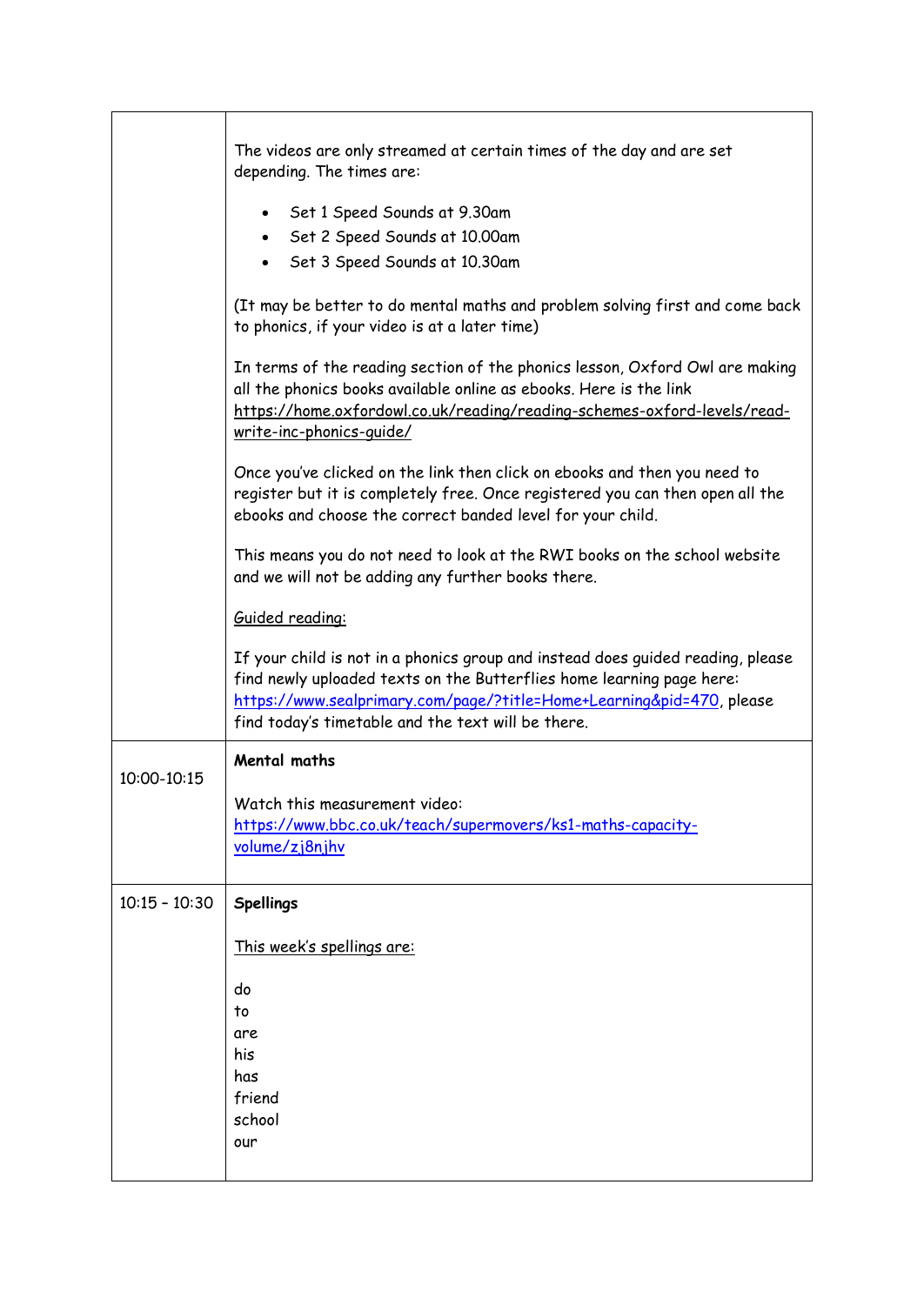|                 | The videos are only streamed at certain times of the day and are set<br>depending. The times are:<br>Set 1 Speed Sounds at 9.30am<br>Set 2 Speed Sounds at 10.00am<br>$\bullet$<br>Set 3 Speed Sounds at 10.30am                                                                        |
|-----------------|-----------------------------------------------------------------------------------------------------------------------------------------------------------------------------------------------------------------------------------------------------------------------------------------|
|                 | (It may be better to do mental maths and problem solving first and come back<br>to phonics, if your video is at a later time)                                                                                                                                                           |
|                 | In terms of the reading section of the phonics lesson, Oxford Owl are making<br>all the phonics books available online as ebooks. Here is the link<br>https://home.oxfordowl.co.uk/reading/reading-schemes-oxford-levels/read-<br>write-inc-phonics-quide/                              |
|                 | Once you've clicked on the link then click on ebooks and then you need to<br>register but it is completely free. Once registered you can then open all the<br>ebooks and choose the correct banded level for your child.                                                                |
|                 | This means you do not need to look at the RWI books on the school website<br>and we will not be adding any further books there.                                                                                                                                                         |
|                 | Guided reading:                                                                                                                                                                                                                                                                         |
|                 | If your child is not in a phonics group and instead does guided reading, please<br>find newly uploaded texts on the Butterflies home learning page here:<br>https://www.sealprimary.com/page/?title=Home+Learning&pid=470, please<br>find today's timetable and the text will be there. |
| 10:00-10:15     | <b>Mental maths</b>                                                                                                                                                                                                                                                                     |
|                 | Watch this measurement video:<br>https://www.bbc.co.uk/teach/supermovers/ks1-maths-capacity-<br>volume/zj8njhv                                                                                                                                                                          |
| $10:15 - 10:30$ | <b>Spellings</b>                                                                                                                                                                                                                                                                        |
|                 | This week's spellings are:                                                                                                                                                                                                                                                              |
|                 | do<br>to<br>are<br>his<br>has<br>friend<br>school<br>our                                                                                                                                                                                                                                |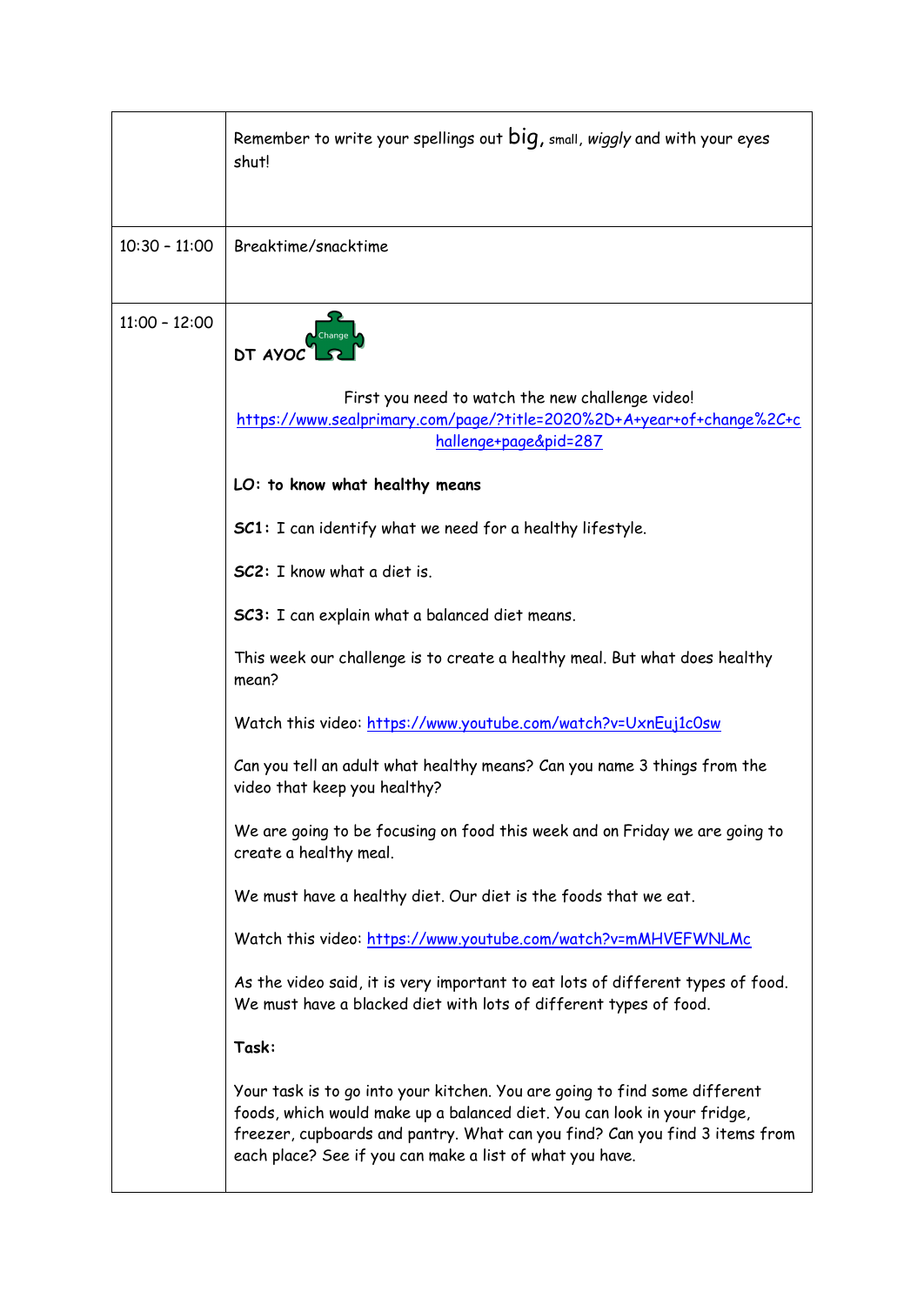|                 | Remember to write your spellings out big, small, wiggly and with your eyes<br>shut!                                                                                                                                                                                                                                                                                                                                                                                                                                                                                                                                                                                                                                                                                                                                                                                                                                                                                                                                                                                                                                                                                                                                                                                             |
|-----------------|---------------------------------------------------------------------------------------------------------------------------------------------------------------------------------------------------------------------------------------------------------------------------------------------------------------------------------------------------------------------------------------------------------------------------------------------------------------------------------------------------------------------------------------------------------------------------------------------------------------------------------------------------------------------------------------------------------------------------------------------------------------------------------------------------------------------------------------------------------------------------------------------------------------------------------------------------------------------------------------------------------------------------------------------------------------------------------------------------------------------------------------------------------------------------------------------------------------------------------------------------------------------------------|
| $10:30 - 11:00$ | Breaktime/snacktime                                                                                                                                                                                                                                                                                                                                                                                                                                                                                                                                                                                                                                                                                                                                                                                                                                                                                                                                                                                                                                                                                                                                                                                                                                                             |
| $11:00 - 12:00$ | DT AYOC<br>First you need to watch the new challenge video!<br>https://www.sealprimary.com/page/?title=2020%2D+A+year+of+change%2C+c<br>hallenge+page&pid=287<br>LO: to know what healthy means<br>SC1: I can identify what we need for a healthy lifestyle.<br>SC2: I know what a diet is.<br><b>SC3:</b> I can explain what a balanced diet means.<br>This week our challenge is to create a healthy meal. But what does healthy<br>mean?<br>Watch this video: https://www.youtube.com/watch?v=UxnEuj1c0sw<br>Can you tell an adult what healthy means? Can you name 3 things from the<br>video that keep you healthy?<br>We are going to be focusing on food this week and on Friday we are going to<br>create a healthy meal.<br>We must have a healthy diet. Our diet is the foods that we eat.<br>Watch this video: https://www.youtube.com/watch?v=mMHVEFWNLMc<br>As the video said, it is very important to eat lots of different types of food.<br>We must have a blacked diet with lots of different types of food.<br>Task:<br>Your task is to go into your kitchen. You are going to find some different<br>foods, which would make up a balanced diet. You can look in your fridge,<br>freezer, cupboards and pantry. What can you find? Can you find 3 items from |
|                 | each place? See if you can make a list of what you have.                                                                                                                                                                                                                                                                                                                                                                                                                                                                                                                                                                                                                                                                                                                                                                                                                                                                                                                                                                                                                                                                                                                                                                                                                        |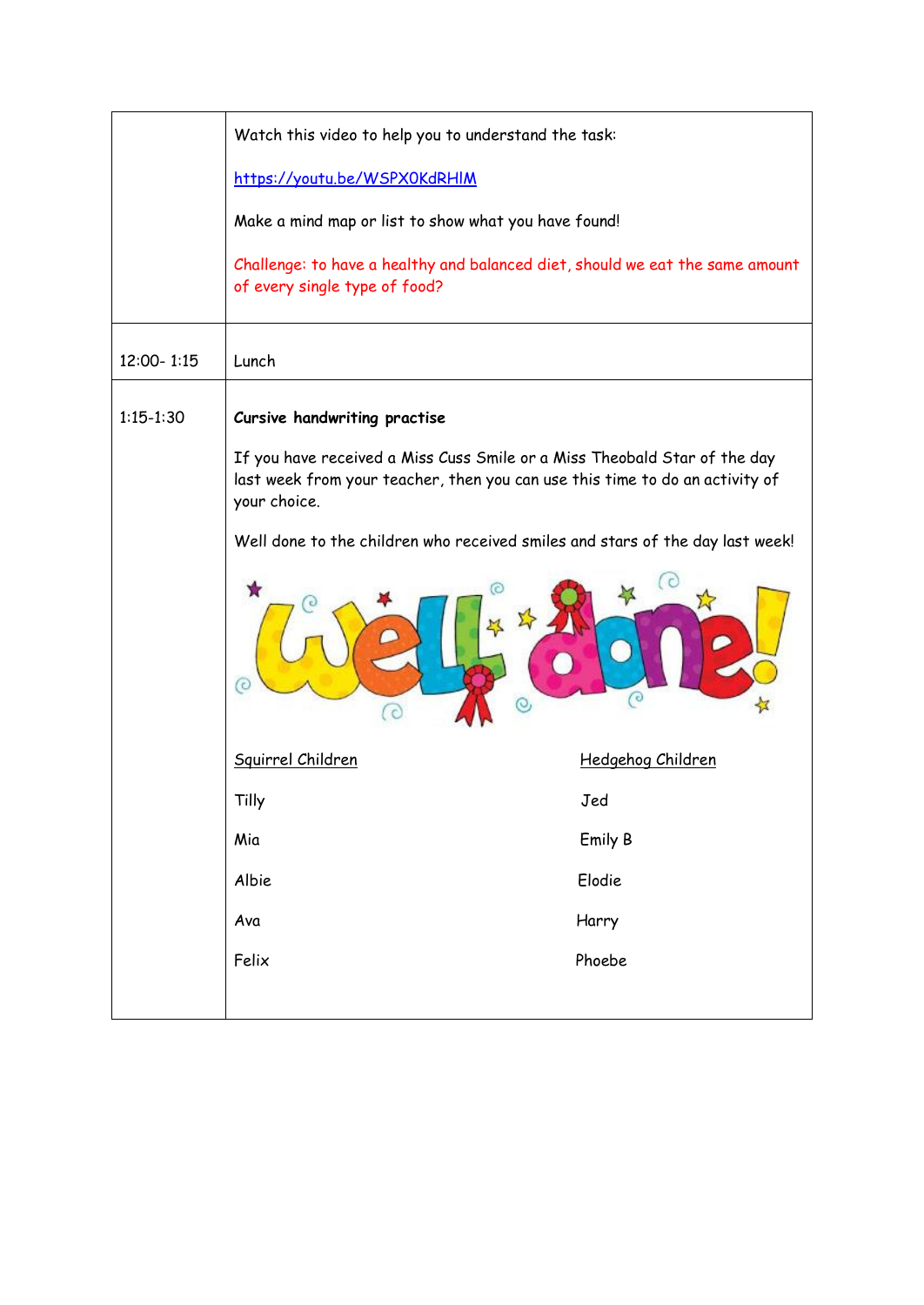|               | Watch this video to help you to understand the task:                                                                                                                      |                   |  |
|---------------|---------------------------------------------------------------------------------------------------------------------------------------------------------------------------|-------------------|--|
|               | https://youtu.be/WSPX0KdRHIM                                                                                                                                              |                   |  |
|               | Make a mind map or list to show what you have found!                                                                                                                      |                   |  |
|               | Challenge: to have a healthy and balanced diet, should we eat the same amount<br>of every single type of food?                                                            |                   |  |
| 12:00-1:15    | Lunch                                                                                                                                                                     |                   |  |
| $1:15 - 1:30$ | Cursive handwriting practise                                                                                                                                              |                   |  |
|               | If you have received a Miss Cuss Smile or a Miss Theobald Star of the day<br>last week from your teacher, then you can use this time to do an activity of<br>your choice. |                   |  |
|               | Well done to the children who received smiles and stars of the day last week!                                                                                             |                   |  |
|               | O<br>$\epsilon$                                                                                                                                                           | C                 |  |
|               | Squirrel Children                                                                                                                                                         | Hedgehog Children |  |
|               | Tilly                                                                                                                                                                     | Jed               |  |
|               | Mia                                                                                                                                                                       | Emily B           |  |
|               | Albie                                                                                                                                                                     | Elodie            |  |
|               | Ava                                                                                                                                                                       | Harry             |  |
|               | Felix                                                                                                                                                                     | Phoebe            |  |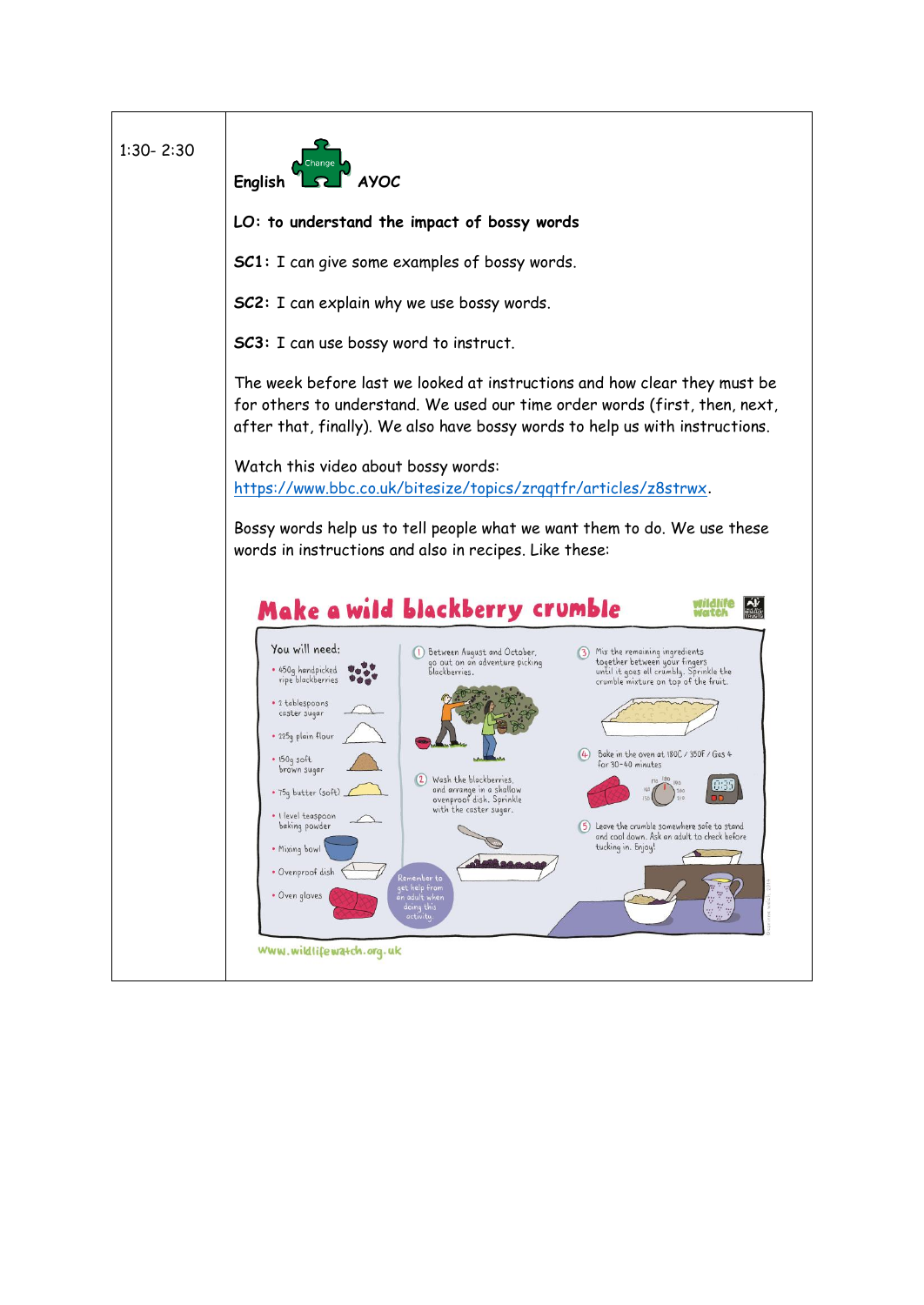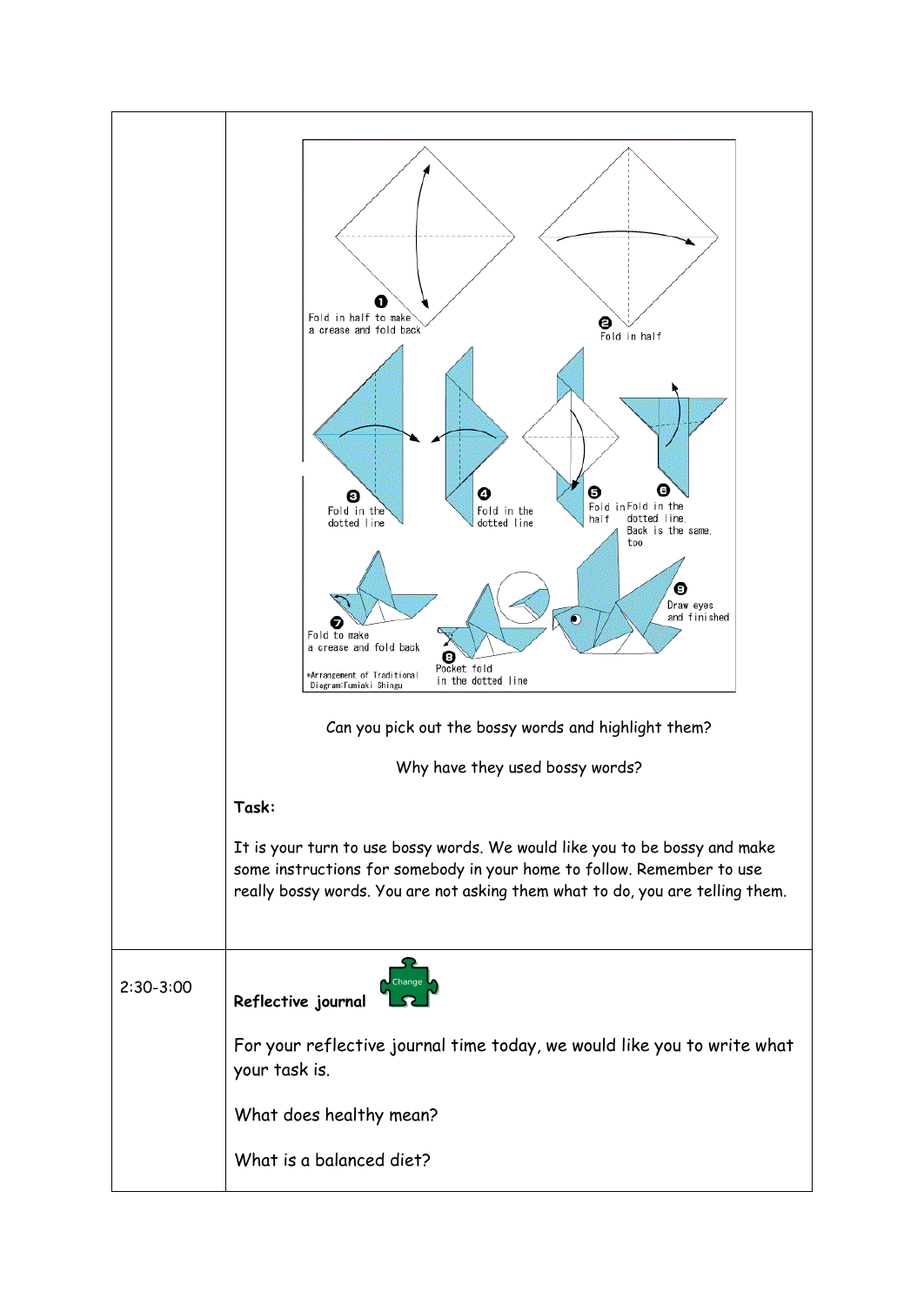